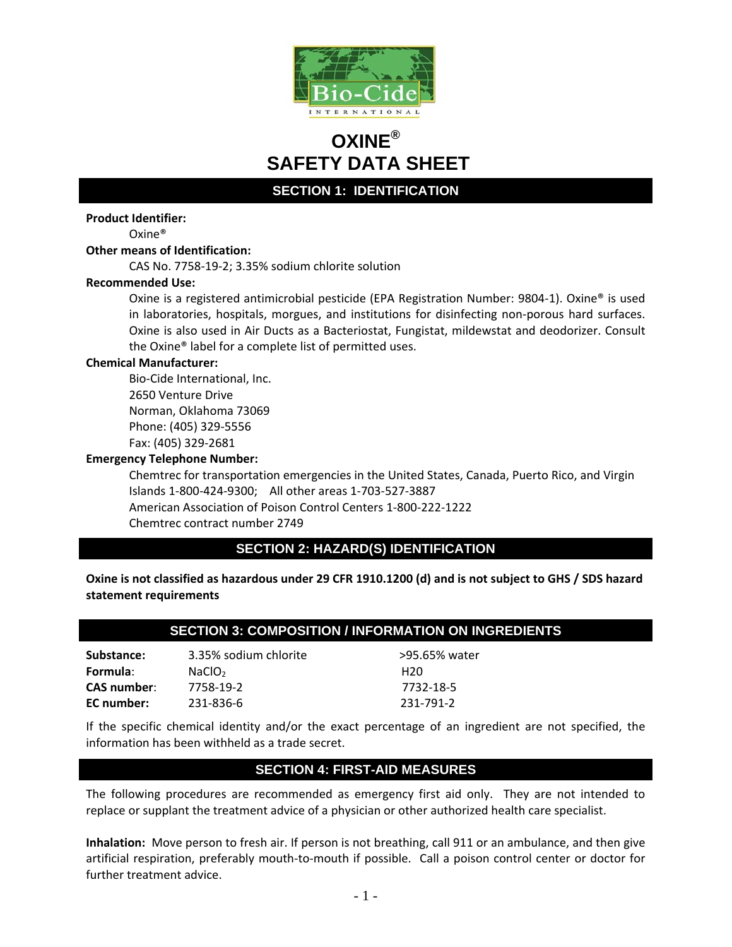

# **OXINE® SAFETY DATA SHEET**

**SECTION 1: IDENTIFICATION** 

### **Product Identifier:**

Oxine®

### **Other means of Identification:**

CAS No. 7758‐19‐2; 3.35% sodium chlorite solution

### **Recommended Use:**

Oxine is a registered antimicrobial pesticide (EPA Registration Number: 9804‐1). Oxine® is used in laboratories, hospitals, morgues, and institutions for disinfecting non‐porous hard surfaces. Oxine is also used in Air Ducts as a Bacteriostat, Fungistat, mildewstat and deodorizer. Consult the Oxine® label for a complete list of permitted uses.

### **Chemical Manufacturer:**

Bio‐Cide International, Inc. 2650 Venture Drive Norman, Oklahoma 73069 Phone: (405) 329‐5556 Fax: (405) 329‐2681

### **Emergency Telephone Number:**

Chemtrec for transportation emergencies in the United States, Canada, Puerto Rico, and Virgin Islands 1‐800‐424‐9300; All other areas 1‐703‐527‐3887 American Association of Poison Control Centers 1‐800‐222‐1222 Chemtrec contract number 2749

# **SECTION 2: HAZARD(S) IDENTIFICATION**

Oxine is not classified as hazardous under 29 CFR 1910.1200 (d) and is not subject to GHS / SDS hazard **statement requirements**

# **SECTION 3: COMPOSITION / INFORMATION ON INGREDIENTS**

**Substance:** 3.35% sodium chlorite >95.65% water **Formula**: NaClO2 H20 **CAS number**: 7758‐19‐2 7732‐18‐5 **EC number:** 231‐836‐6 231‐791‐2

If the specific chemical identity and/or the exact percentage of an ingredient are not specified, the information has been withheld as a trade secret.

# **SECTION 4: FIRST-AID MEASURES**

The following procedures are recommended as emergency first aid only. They are not intended to replace or supplant the treatment advice of a physician or other authorized health care specialist.

**Inhalation:** Move person to fresh air. If person is not breathing, call 911 or an ambulance, and then give artificial respiration, preferably mouth‐to‐mouth if possible. Call a poison control center or doctor for further treatment advice.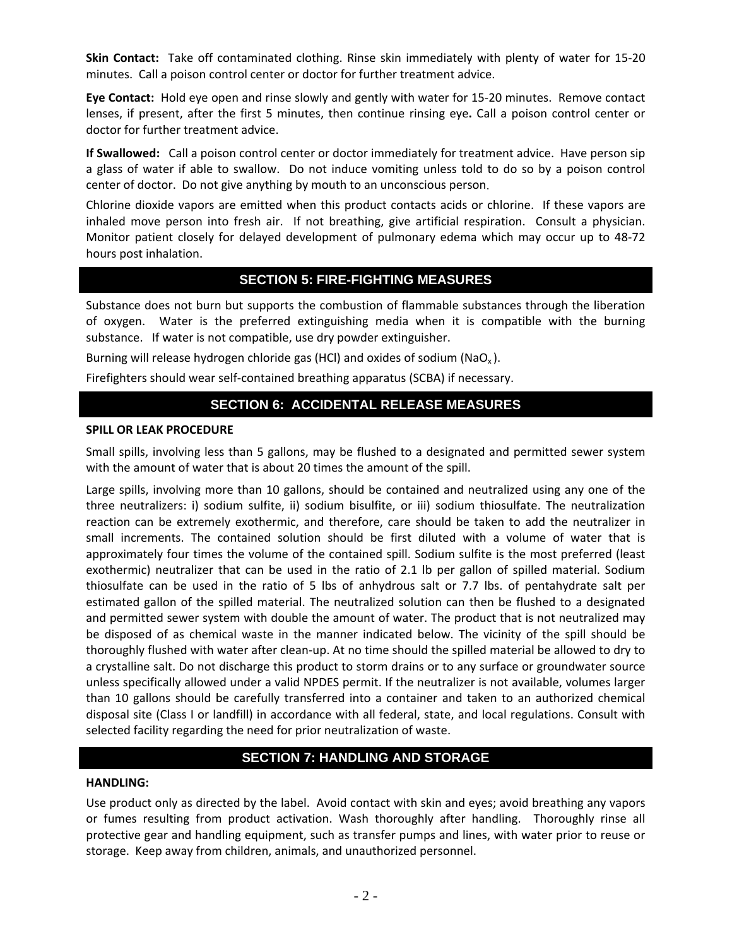**Skin Contact:** Take off contaminated clothing. Rinse skin immediately with plenty of water for 15‐20 minutes. Call a poison control center or doctor for further treatment advice.

**Eye Contact:** Hold eye open and rinse slowly and gently with water for 15‐20 minutes. Remove contact lenses, if present, after the first 5 minutes, then continue rinsing eye**.** Call a poison control center or doctor for further treatment advice.

**If Swallowed:**  Call a poison control center or doctor immediately for treatment advice. Have person sip a glass of water if able to swallow. Do not induce vomiting unless told to do so by a poison control center of doctor. Do not give anything by mouth to an unconscious person.

Chlorine dioxide vapors are emitted when this product contacts acids or chlorine. If these vapors are inhaled move person into fresh air. If not breathing, give artificial respiration. Consult a physician. Monitor patient closely for delayed development of pulmonary edema which may occur up to 48‐72 hours post inhalation.

# **SECTION 5: FIRE-FIGHTING MEASURES**

Substance does not burn but supports the combustion of flammable substances through the liberation of oxygen. Water is the preferred extinguishing media when it is compatible with the burning substance. If water is not compatible, use dry powder extinguisher.

Burning will release hydrogen chloride gas (HCl) and oxides of sodium (NaO<sub>x</sub>).

Firefighters should wear self‐contained breathing apparatus (SCBA) if necessary.

# **SECTION 6: ACCIDENTAL RELEASE MEASURES**

### **SPILL OR LEAK PROCEDURE**

Small spills, involving less than 5 gallons, may be flushed to a designated and permitted sewer system with the amount of water that is about 20 times the amount of the spill.

Large spills, involving more than 10 gallons, should be contained and neutralized using any one of the three neutralizers: i) sodium sulfite, ii) sodium bisulfite, or iii) sodium thiosulfate. The neutralization reaction can be extremely exothermic, and therefore, care should be taken to add the neutralizer in small increments. The contained solution should be first diluted with a volume of water that is approximately four times the volume of the contained spill. Sodium sulfite is the most preferred (least exothermic) neutralizer that can be used in the ratio of 2.1 lb per gallon of spilled material. Sodium thiosulfate can be used in the ratio of 5 lbs of anhydrous salt or 7.7 lbs. of pentahydrate salt per estimated gallon of the spilled material. The neutralized solution can then be flushed to a designated and permitted sewer system with double the amount of water. The product that is not neutralized may be disposed of as chemical waste in the manner indicated below. The vicinity of the spill should be thoroughly flushed with water after clean‐up. At no time should the spilled material be allowed to dry to a crystalline salt. Do not discharge this product to storm drains or to any surface or groundwater source unless specifically allowed under a valid NPDES permit. If the neutralizer is not available, volumes larger than 10 gallons should be carefully transferred into a container and taken to an authorized chemical disposal site (Class I or landfill) in accordance with all federal, state, and local regulations. Consult with selected facility regarding the need for prior neutralization of waste.

# **SECTION 7: HANDLING AND STORAGE**

### **HANDLING:**

Use product only as directed by the label. Avoid contact with skin and eyes; avoid breathing any vapors or fumes resulting from product activation. Wash thoroughly after handling. Thoroughly rinse all protective gear and handling equipment, such as transfer pumps and lines, with water prior to reuse or storage. Keep away from children, animals, and unauthorized personnel.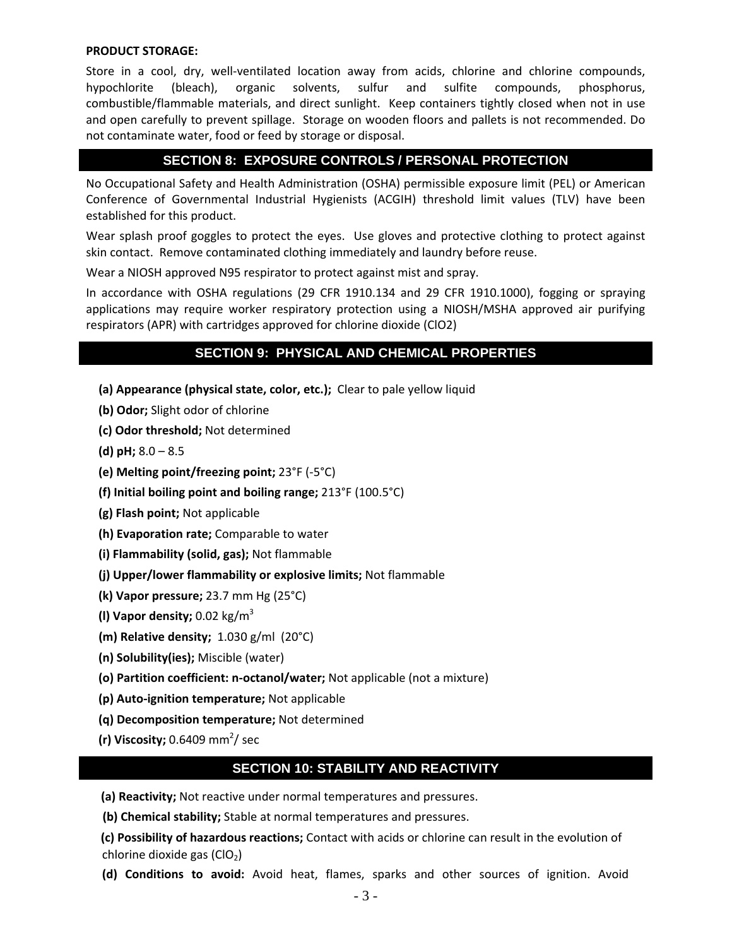### **PRODUCT STORAGE:**

Store in a cool, dry, well-ventilated location away from acids, chlorine and chlorine compounds, hypochlorite (bleach), organic solvents, sulfur and sulfite compounds, phosphorus, combustible/flammable materials, and direct sunlight. Keep containers tightly closed when not in use and open carefully to prevent spillage. Storage on wooden floors and pallets is not recommended. Do not contaminate water, food or feed by storage or disposal.

# **SECTION 8: EXPOSURE CONTROLS / PERSONAL PROTECTION**

No Occupational Safety and Health Administration (OSHA) permissible exposure limit (PEL) or American Conference of Governmental Industrial Hygienists (ACGIH) threshold limit values (TLV) have been established for this product.

Wear splash proof goggles to protect the eyes. Use gloves and protective clothing to protect against skin contact. Remove contaminated clothing immediately and laundry before reuse.

Wear a NIOSH approved N95 respirator to protect against mist and spray.

In accordance with OSHA regulations (29 CFR 1910.134 and 29 CFR 1910.1000), fogging or spraying applications may require worker respiratory protection using a NIOSH/MSHA approved air purifying respirators (APR) with cartridges approved for chlorine dioxide (ClO2)

# **SECTION 9: PHYSICAL AND CHEMICAL PROPERTIES**

- **(a) Appearance (physical state, color, etc.);** Clear to pale yellow liquid
- **(b) Odor;** Slight odor of chlorine
- **(c) Odor threshold;** Not determined
- **(d) pH;** 8.0 8.5
- **(e) Melting point/freezing point;** 23°F (‐5°C)
- **(f) Initial boiling point and boiling range;** 213°F (100.5°C)
- **(g) Flash point;** Not applicable
- **(h) Evaporation rate;** Comparable to water
- **(i) Flammability (solid, gas);** Not flammable
- **(j) Upper/lower flammability or explosive limits;** Not flammable
- **(k) Vapor pressure;** 23.7 mm Hg (25°C)
- **(l) Vapor density;** 0.02 kg/m3
- **(m) Relative density;** 1.030 g/ml (20°C)
- **(n) Solubility(ies);** Miscible (water)
- **(o) Partition coefficient: n‐octanol/water;** Not applicable (not a mixture)
- **(p) Auto‐ignition temperature;** Not applicable
- **(q) Decomposition temperature;** Not determined
- **(r) Viscosity;** 0.6409 mm<sup>2</sup>/ sec

# **SECTION 10: STABILITY AND REACTIVITY**

**(a) Reactivity;** Not reactive under normal temperatures and pressures.

**(b) Chemical stability;** Stable at normal temperatures and pressures.

**(c) Possibility of hazardous reactions;** Contact with acids or chlorine can result in the evolution of chlorine dioxide gas  $(ClO<sub>2</sub>)$ 

**(d) Conditions to avoid:** Avoid heat, flames, sparks and other sources of ignition. Avoid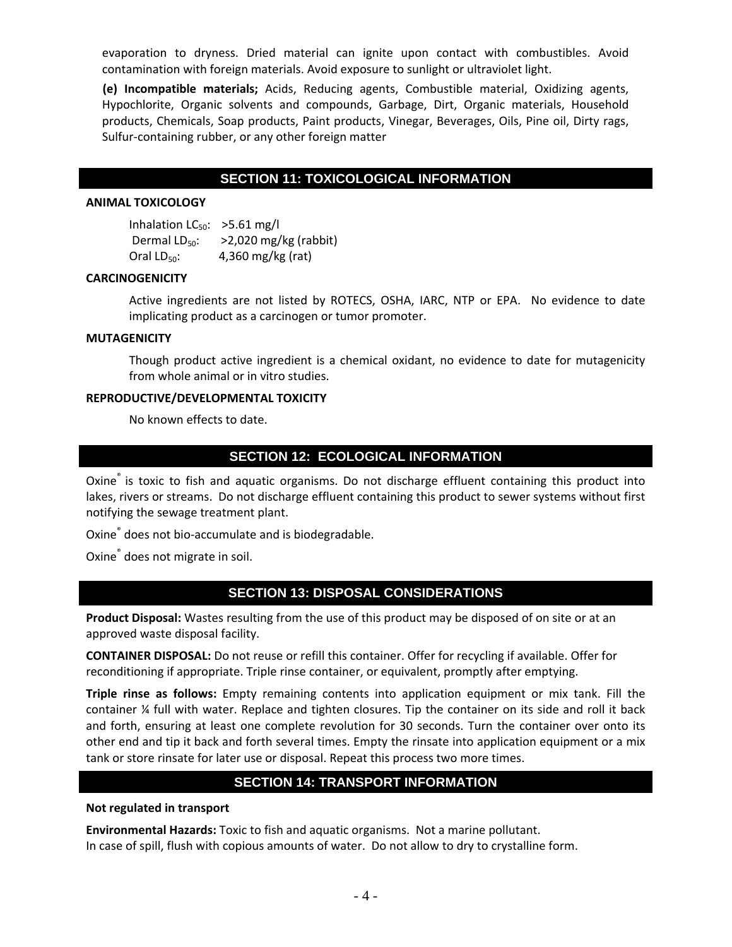evaporation to dryness. Dried material can ignite upon contact with combustibles. Avoid contamination with foreign materials. Avoid exposure to sunlight or ultraviolet light.

**(e) Incompatible materials;** Acids, Reducing agents, Combustible material, Oxidizing agents, Hypochlorite, Organic solvents and compounds, Garbage, Dirt, Organic materials, Household products, Chemicals, Soap products, Paint products, Vinegar, Beverages, Oils, Pine oil, Dirty rags, Sulfur‐containing rubber, or any other foreign matter

# **SECTION 11: TOXICOLOGICAL INFORMATION**

#### **ANIMAL TOXICOLOGY**

| Inhalation $LC_{50}$ : >5.61 mg/l |                         |
|-----------------------------------|-------------------------|
| Dermal $LD_{50}$ :                | $>2,020$ mg/kg (rabbit) |
| Oral $LD_{50}$ :                  | 4,360 mg/kg (rat)       |

### **CARCINOGENICITY**

Active ingredients are not listed by ROTECS, OSHA, IARC, NTP or EPA. No evidence to date implicating product as a carcinogen or tumor promoter.

#### **MUTAGENICITY**

Though product active ingredient is a chemical oxidant, no evidence to date for mutagenicity from whole animal or in vitro studies.

### **REPRODUCTIVE/DEVELOPMENTAL TOXICITY**

No known effects to date.

# **SECTION 12: ECOLOGICAL INFORMATION**

Oxine® is toxic to fish and aquatic organisms. Do not discharge effluent containing this product into lakes, rivers or streams. Do not discharge effluent containing this product to sewer systems without first notifying the sewage treatment plant.

Oxine<sup>®</sup> does not bio-accumulate and is biodegradable.

Oxine® does not migrate in soil.

### **SECTION 13: DISPOSAL CONSIDERATIONS**

**Product Disposal:** Wastes resulting from the use of this product may be disposed of on site or at an approved waste disposal facility.

**CONTAINER DISPOSAL:** Do not reuse or refill this container. Offer for recycling if available. Offer for reconditioning if appropriate. Triple rinse container, or equivalent, promptly after emptying.

**Triple rinse as follows:** Empty remaining contents into application equipment or mix tank. Fill the container ¼ full with water. Replace and tighten closures. Tip the container on its side and roll it back and forth, ensuring at least one complete revolution for 30 seconds. Turn the container over onto its other end and tip it back and forth several times. Empty the rinsate into application equipment or a mix tank or store rinsate for later use or disposal. Repeat this process two more times.

# **SECTION 14: TRANSPORT INFORMATION**

#### **Not regulated in transport**

**Environmental Hazards:** Toxic to fish and aquatic organisms. Not a marine pollutant. In case of spill, flush with copious amounts of water. Do not allow to dry to crystalline form.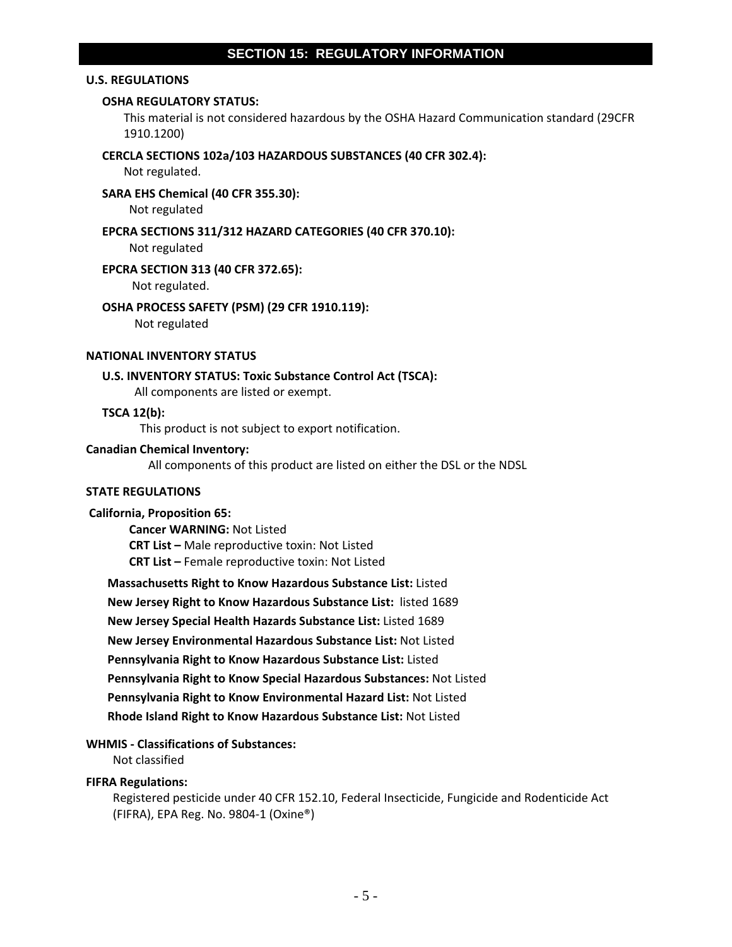# **SECTION 15: REGULATORY INFORMATION**

### **U.S. REGULATIONS**

### **OSHA REGULATORY STATUS:**

This material is not considered hazardous by the OSHA Hazard Communication standard (29CFR 1910.1200)

#### **CERCLA SECTIONS 102a/103 HAZARDOUS SUBSTANCES (40 CFR 302.4):**

Not regulated.

### **SARA EHS Chemical (40 CFR 355.30):**

Not regulated

#### **EPCRA SECTIONS 311/312 HAZARD CATEGORIES (40 CFR 370.10):**

Not regulated

### **EPCRA SECTION 313 (40 CFR 372.65):**

Not regulated.

#### **OSHA PROCESS SAFETY (PSM) (29 CFR 1910.119):**

Not regulated

### **NATIONAL INVENTORY STATUS**

### **U.S. INVENTORY STATUS: Toxic Substance Control Act (TSCA):**

All components are listed or exempt.

### **TSCA 12(b):**

This product is not subject to export notification.

### **Canadian Chemical Inventory:**

All components of this product are listed on either the DSL or the NDSL

### **STATE REGULATIONS**

### **California, Proposition 65:**

 **Cancer WARNING:** Not Listed **CRT List –** Male reproductive toxin: Not Listed **CRT List –** Female reproductive toxin: Not Listed

**Massachusetts Right to Know Hazardous Substance List:** Listed **New Jersey Right to Know Hazardous Substance List:** listed 1689 **New Jersey Special Health Hazards Substance List:** Listed 1689 **New Jersey Environmental Hazardous Substance List:** Not Listed **Pennsylvania Right to Know Hazardous Substance List:** Listed **Pennsylvania Right to Know Special Hazardous Substances:** Not Listed **Pennsylvania Right to Know Environmental Hazard List:** Not Listed **Rhode Island Right to Know Hazardous Substance List:** Not Listed

### **WHMIS ‐ Classifications of Substances:**

Not classified

### **FIFRA Regulations:**

Registered pesticide under 40 CFR 152.10, Federal Insecticide, Fungicide and Rodenticide Act (FIFRA), EPA Reg. No. 9804‐1 (Oxine®)